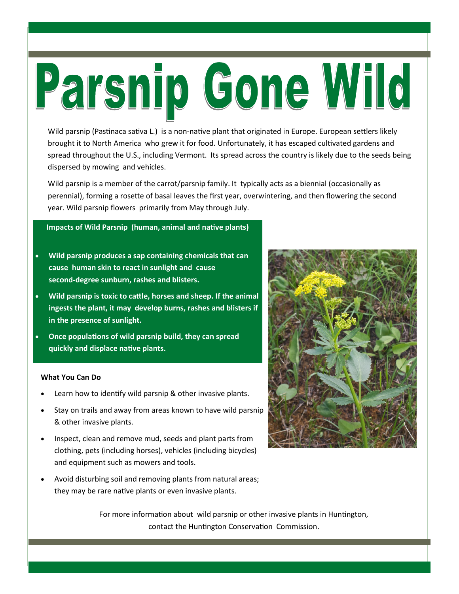# Parsnip Gone Wild

Wild parsnip (Pastinaca sativa L.) is a non-native plant that originated in Europe. European settlers likely brought it to North America who grew it for food. Unfortunately, it has escaped cultvated gardens and spread throughout the U.S., including Vermont. Its spread across the country is likely due to the seeds being dispersed by mowing and vehicles.

Wild parsnip is a member of the carrot/parsnip family. It typically acts as a biennial (occasionally as perennial), forming a rosette of basal leaves the first year, overwintering, and then flowering the second year. Wild parsnip flowers primarily from May through July.

### **Impacts of Wild Parsnip (human, animal and natve plants)**

- x **Wild parsnip produces a sap containing chemicals that can cause human skin to react in sunlight and cause second-degree sunburn, rashes and blisters.**
- x **Wild parsnip is toxic to catle, horses and sheep. If the animal ingests the plant, it may develop burns, rashes and blisters if in the presence of sunlight.**
- **Once populations of wild parsnip build, they can spread quickly and displace natve plants.**

### **What You Can Do**

- Learn how to identify wild parsnip & other invasive plants.
- Stay on trails and away from areas known to have wild parsnip & other invasive plants.
- Inspect, clean and remove mud, seeds and plant parts from clothing, pets (including horses), vehicles (including bicycles) and equipment such as mowers and tools.
- Avoid disturbing soil and removing plants from natural areas; they may be rare natve plants or even invasive plants.



For more information about wild parsnip or other invasive plants in Huntington, contact the Huntington Conservation Commission.